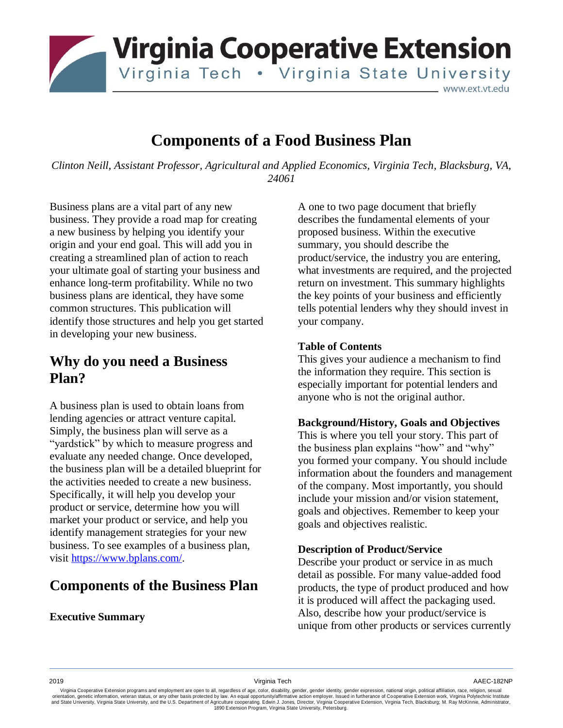

# **Components of a Food Business Plan**

*Clinton Neill, Assistant Professor, Agricultural and Applied Economics, Virginia Tech, Blacksburg, VA, 24061*

Business plans are a vital part of any new business. They provide a road map for creating a new business by helping you identify your origin and your end goal. This will add you in creating a streamlined plan of action to reach your ultimate goal of starting your business and enhance long-term profitability. While no two business plans are identical, they have some common structures. This publication will identify those structures and help you get started in developing your new business.

## **Why do you need a Business Plan?**

A business plan is used to obtain loans from lending agencies or attract venture capital. Simply, the business plan will serve as a "yardstick" by which to measure progress and evaluate any needed change. Once developed, the business plan will be a detailed blueprint for the activities needed to create a new business. Specifically, it will help you develop your product or service, determine how you will market your product or service, and help you identify management strategies for your new business. To see examples of a business plan, visit [https://www.bplans.com/.](https://www.bplans.com/)

## **Components of the Business Plan**

## **Executive Summary**

A one to two page document that briefly describes the fundamental elements of your proposed business. Within the executive summary, you should describe the product/service, the industry you are entering, what investments are required, and the projected return on investment. This summary highlights the key points of your business and efficiently tells potential lenders why they should invest in your company.

### **Table of Contents**

This gives your audience a mechanism to find the information they require. This section is especially important for potential lenders and anyone who is not the original author.

#### **Background/History, Goals and Objectives**

This is where you tell your story. This part of the business plan explains "how" and "why" you formed your company. You should include information about the founders and management of the company. Most importantly, you should include your mission and/or vision statement, goals and objectives. Remember to keep your goals and objectives realistic.

## **Description of Product/Service**

Describe your product or service in as much detail as possible. For many value-added food products, the type of product produced and how it is produced will affect the packaging used. Also, describe how your product/service is unique from other products or services currently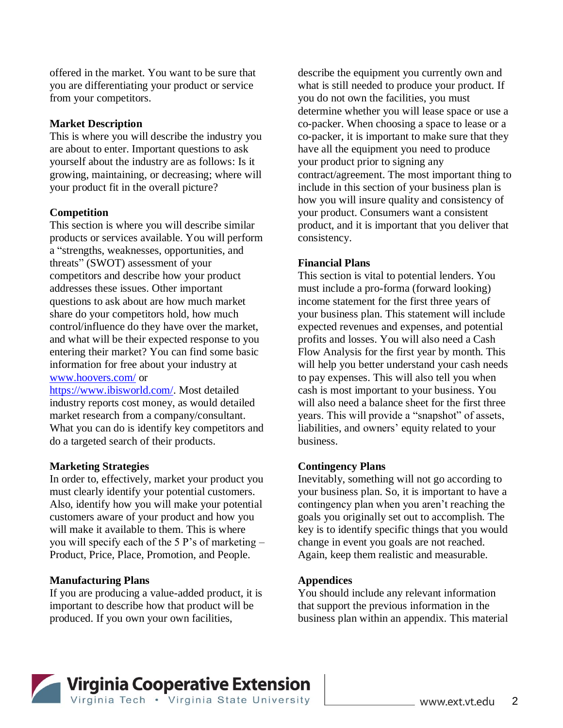offered in the market. You want to be sure that you are differentiating your product or service from your competitors.

### **Market Description**

This is where you will describe the industry you are about to enter. Important questions to ask yourself about the industry are as follows: Is it growing, maintaining, or decreasing; where will your product fit in the overall picture?

### **Competition**

This section is where you will describe similar products or services available. You will perform a "strengths, weaknesses, opportunities, and threats" (SWOT) assessment of your competitors and describe how your product addresses these issues. Other important questions to ask about are how much market share do your competitors hold, how much control/influence do they have over the market, and what will be their expected response to you entering their market? You can find some basic information for free about your industry at [www.hoovers.com/](http://www.hoovers.com/) or

[https://www.ibisworld.com/.](https://www.ibisworld.com/) Most detailed industry reports cost money, as would detailed market research from a company/consultant. What you can do is identify key competitors and do a targeted search of their products.

#### **Marketing Strategies**

In order to, effectively, market your product you must clearly identify your potential customers. Also, identify how you will make your potential customers aware of your product and how you will make it available to them. This is where you will specify each of the 5 P's of marketing – Product, Price, Place, Promotion, and People.

#### **Manufacturing Plans**

If you are producing a value-added product, it is important to describe how that product will be produced. If you own your own facilities,

describe the equipment you currently own and what is still needed to produce your product. If you do not own the facilities, you must determine whether you will lease space or use a co-packer. When choosing a space to lease or a co-packer, it is important to make sure that they have all the equipment you need to produce your product prior to signing any contract/agreement. The most important thing to include in this section of your business plan is how you will insure quality and consistency of your product. Consumers want a consistent product, and it is important that you deliver that consistency.

### **Financial Plans**

This section is vital to potential lenders. You must include a pro-forma (forward looking) income statement for the first three years of your business plan. This statement will include expected revenues and expenses, and potential profits and losses. You will also need a Cash Flow Analysis for the first year by month. This will help you better understand your cash needs to pay expenses. This will also tell you when cash is most important to your business. You will also need a balance sheet for the first three years. This will provide a "snapshot" of assets, liabilities, and owners' equity related to your business.

#### **Contingency Plans**

Inevitably, something will not go according to your business plan. So, it is important to have a contingency plan when you aren't reaching the goals you originally set out to accomplish. The key is to identify specific things that you would change in event you goals are not reached. Again, keep them realistic and measurable.

#### **Appendices**

You should include any relevant information that support the previous information in the business plan within an appendix. This material